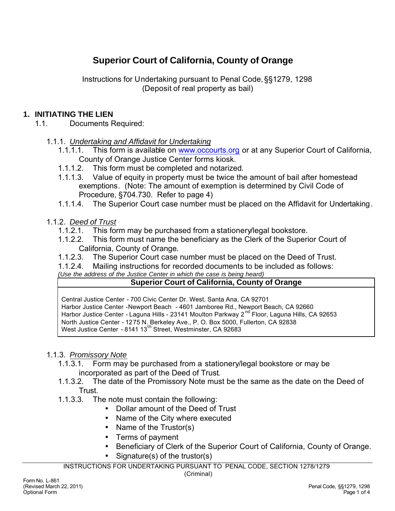# **Superior Court of California, County of Orange**

Instructions for Undertaking pursuant to Penal Code, §§1279, 1298 (Deposit of real property as bail)

#### **1. INITIATING THE LIEN**

- 1.1. Documents Required:
	- 1.1.1. *Undertaking and Affidavit for Undertaking*
		- 1.1.1.1. This form is available on www.occourts.org or at any Superior Court of California, County of Orange Justice Center forms kiosk.
		- 1.1.1.2. This form must be completed and notarized.
		- 1.1.1.3. Value of equity in property must be twice the amount of bail after homestead exemptions. (Note: The amount of exemption is determined by Civil Code of Procedure, §704.730. Refer to page 4)
		- 1.1.1.4. The Superior Court case number must be placed on the Affidavit for Undertaking.
	- 1.1.2. *Deed of Trust*
		- 1.1.2.1. This form may be purchased from a stationery/legal bookstore.
		- 1.1.2.2. This form must name the beneficiary as the Clerk of the Superior Court of California, County of Orange.
		- 1.1.2.3. The Superior Court case number must be placed on the Deed of Trust.
		- 1.1.2.4. Mailing instructions for recorded documents to be included as follows:

*(Use the address of the Justice Center in which the case is being heard)*

#### **Superior Court of California, County of Orange**

Central Justice Center - 700 Civic Center Dr. West, Santa Ana, CA 92701 Harbor Justice Center -Newport Beach - 4601 Jamboree Rd., Newport Beach, CA 92660 Harbor Justice Center - Laguna Hills - 23141 Moulton Parkway 2<sup>nd</sup> Floor, Laguna Hills, CA 92653 North Justice Center - 1275 N. Berkeley Ave., P. O. Box 5000, Fullerton, CA 92838 West Justice Center - 8141 13<sup>th</sup> Street, Westminster, CA 92683

#### 1.1.3. *Promissory Note*

- 1.1.3.1. Form may be purchased from a stationery/legal bookstore or may be incorporated as part of the Deed of Trust.
- 1.1.3.2. The date of the Promissory Note must be the same as the date on the Deed of Trust.
- 1.1.3.3. The note must contain the following:
	- Dollar amount of the Deed of Trust
	- Name of the City where executed
	- Name of the Trustor(s)
	- Terms of payment
	- Beneficiary of Clerk of the Superior Court of California, County of Orange.
	- Signature(s) of the trustor(s)

INSTRUCTIONS FOR UNDERTAKING PURSUANT TO PENAL CODE, SECTION 1278/1279

(Criminal)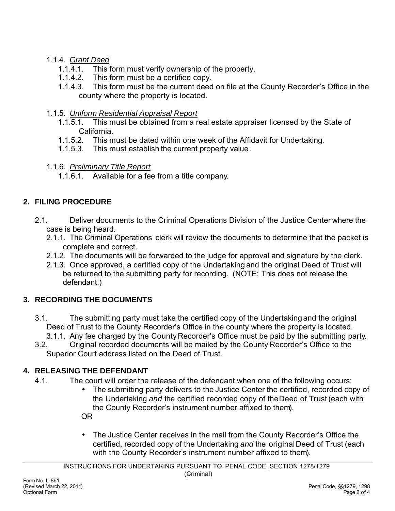#### 1.1.4. *Grant Deed*

- 1.1.4.1. This form must verify ownership of the property.
- 1.1.4.2. This form must be a certified copy.
- 1.1.4.3. This form must be the current deed on file at the County Recorder's Office in the county where the property is located.

#### 1.1.5. *Uniform Residential Appraisal Report*

- 1.1.5.1. This must be obtained from a real estate appraiser licensed by the State of California.
- 1.1.5.2. This must be dated within one week of the Affidavit for Undertaking.
- 1.1.5.3. This must establish the current property value.
- 1.1.6. *Preliminary Title Report*
	- 1.1.6.1. Available for a fee from a title company.

# **2. FILING PROCEDURE**

- 2.1. Deliver documents to the Criminal Operations Division of the Justice Center where the case is being heard.
	- 2.1.1. The Criminal Operations clerk will review the documents to determine that the packet is complete and correct.
	- 2.1.2. The documents will be forwarded to the judge for approval and signature by the clerk.
	- 2.1.3. Once approved, a certified copy of the Undertaking and the original Deed of Trust will be returned to the submitting party for recording. (NOTE: This does not release the defendant.)

### **3. RECORDING THE DOCUMENTS**

- 3.1. The submitting party must take the certified copy of the Undertaking and the original Deed of Trust to the County Recorder's Office in the county where the property is located.
	- 3.1.1. Any fee charged by the County Recorder's Office must be paid by the submitting party.
- 3.2. Original recorded documents will be mailed by the County Recorder's Office to the Superior Court address listed on the Deed of Trust.

# **4. RELEASING THE DEFENDANT**

- 4.1. The court will order the release of the defendant when one of the following occurs:
	- The submitting party delivers to the Justice Center the certified, recorded copy of the Undertaking *and* the certified recorded copy of the Deed of Trust (each with the County Recorder's instrument number affixed to them). OR
	- The Justice Center receives in the mail from the County Recorder's Office the certified, recorded copy of the Undertaking *and* the original Deed of Trust (each with the County Recorder's instrument number affixed to them).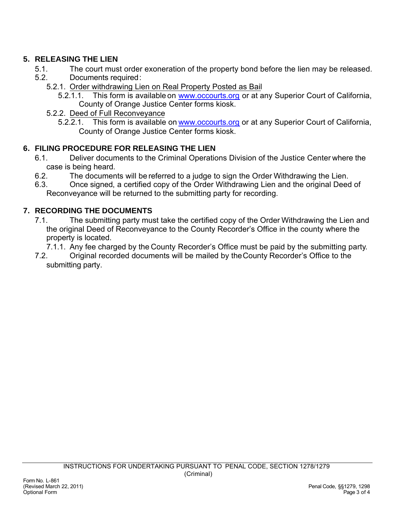# **5. RELEASING THE LIEN**

- 5.1. The court must order exoneration of the property bond before the lien may be released.
- 5.2. Documents required:
	- 5.2.1. Order withdrawing Lien on Real Property Posted as Bail
		- 5.2.1.1. This form is available on www.occourts.org or at any Superior Court of California, County of Orange Justice Center forms kiosk.
	- 5.2.2. Deed of Full Reconveyance
		- 5.2.2.1. This form is available on www.occourts.org or at any Superior Court of California, County of Orange Justice Center forms kiosk.

# **6. FILING PROCEDURE FOR RELEASING THE LIEN**

- 6.1. Deliver documents to the Criminal Operations Division of the Justice Center where the case is being heard.
- 6.2. The documents will be referred to a judge to sign the Order Withdrawing the Lien.
- 6.3. Once signed, a certified copy of the Order Withdrawing Lien and the original Deed of Reconveyance will be returned to the submitting party for recording.

# **7. RECORDING THE DOCUMENTS**

- 7.1. The submitting party must take the certified copy of the Order Withdrawing the Lien and the original Deed of Reconveyance to the County Recorder's Office in the county where the property is located.
	- 7.1.1. Any fee charged by the County Recorder's Office must be paid by the submitting party.
- 7.2. Original recorded documents will be mailed by the County Recorder's Office to the submitting party.